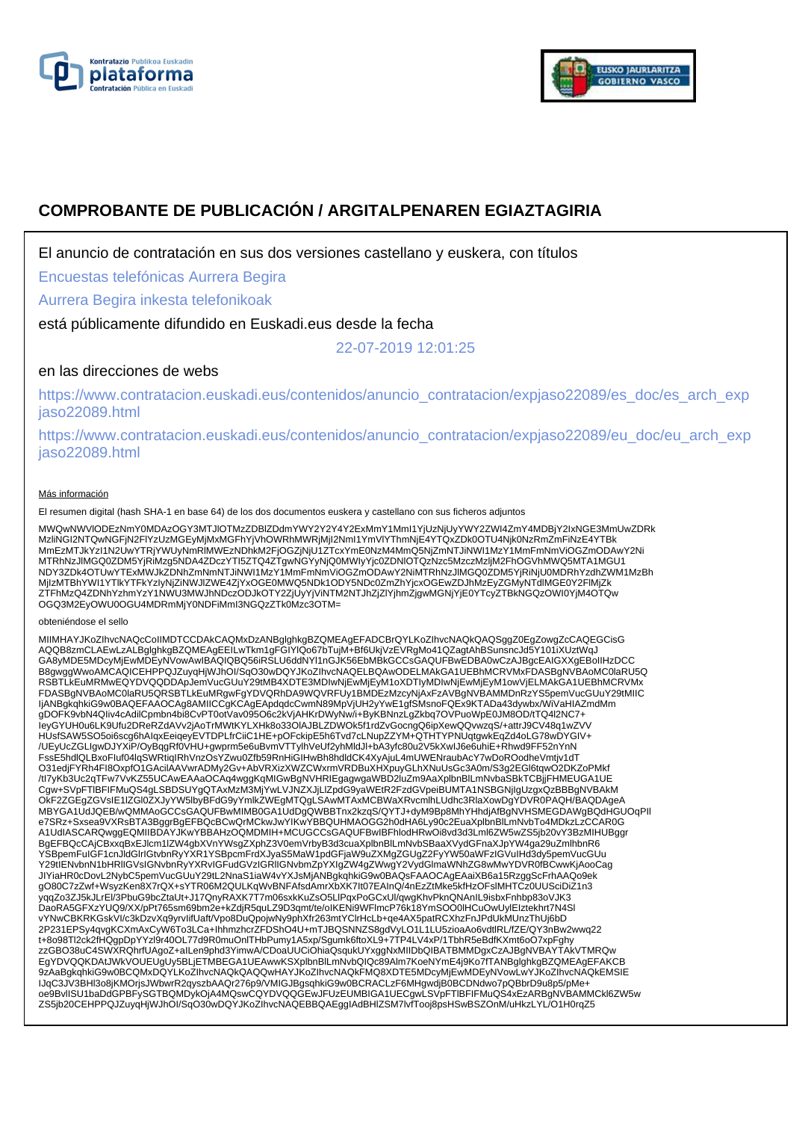



# **COMPROBANTE DE PUBLICACIÓN / ARGITALPENAREN EGIAZTAGIRIA**

El anuncio de contratación en sus dos versiones castellano y euskera, con títulos

Encuestas telefónicas Aurrera Begira

Aurrera Begira inkesta telefonikoak

está públicamente difundido en Euskadi.eus desde la fecha

22-07-2019 12:01:25

## en las direcciones de webs

https://www.contratacion.euskadi.eus/contenidos/anuncio\_contratacion/expjaso22089/es\_doc/es\_arch\_exp jaso22089.html

https://www.contratacion.euskadi.eus/contenidos/anuncio\_contratacion/expjaso22089/eu\_doc/eu\_arch\_exp jaso22089.html

#### Más información

El resumen digital (hash SHA-1 en base 64) de los dos documentos euskera y castellano con sus ficheros adjuntos

MWQwNWVIODEzNmY0MDAzOGY3MTJIOTMzZDBIZDdmYWY2Y2Y4Y2ExMmY1MmI1YjUzNjUyYWY2ZWI4ZmY4MDBjY2IxNGE3MmUwZDRk<br>MziiNGI2NTQwNGFjN2FIYzUzMGEyMjMxMGFhYjVhOWRhMWRjMjI2NmI1YmVIYThmNjE4YTQxZDk0OTU4Njk0NzRmZmFiNzE4YTBk<br>MmEzMTJkYzI1N2UwYTRj MjIzMTBhYWI1YTlkYTFkYzIyNjZiNWJlZWE4ZjYxOGE0MWQ5NDk1ODY5NDc0ZmZhYjcxOGEwZDJhMzEyZGMyNTdlMGE0Y2FlMjZk ZTFhMzQ4ZDNhYzhmYzY1NWU3MWJhNDczODJkOTY2ZjUyYjViNTM2NTJhZjZlYjhmZjgwMGNjYjE0YTcyZTBkNGQzOWI0YjM4OTQw OGQ3M2EyOWU0OGU4MDRmMjY0NDFiMmI3NGQzZTk0Mzc3OTM=

obteniéndose el sello

MIIMHAYJKoZIhvcNAQcCoIIMDTCCDAkCAQMxDzANBglghkgBZQMEAgEFADCBrQYLKoZIhvcNAQkQAQSggZ0EgZowgZcCAQEGCisG AQQB8zmCLAEwLzALBglghkgBZQMEAgEEILwTkm1gFGIYlQo67bTujM+Bf6UkjVzEVRgMo41QZagtAhBSunsncJd5Y101iXUztWqJ GA8yMDE5MDcyMjEwMDEyNVowAwIBAQIQBQ56iRSLU6ddNYl1nGJK56EbMBkGCCsGAQUFBwEDBA0wCzAJBgcEAIGXXgEBoIIHzDCC B8gwggWwoAMCAQICEHPPQJZuyqHjWJhOI/SqO30wDQYJKoZIhvcNAQELBQAwODELMAkGA1UEBhMCRVMxFDASBgNVBAoMC0laRU5Q<br>RSBTLkEuMRMwEQYDVQQDDApJemVucGUuY29tMB4XDTE3MDIwNjEwMjEyM1oXDTIyMDIwNjEwMjEyM1owVjELMAkGA1UEBhMCRVMx FDASBgNVBAoMC0laRU5QRSBTLkEuMRgwFgYDVQRhDA9WQVRFUy1BMDEzMzcyNjAxFzAVBgNVBAMMDnRzYS5pemVucGUuY29tMIIC<br>IjANBgkqhkiG9w0BAQEFAAOCAg8AMIICCgKCAgEApdqdcCwmN89MpVjUH2yYwE1gfSMsnoFQEx9KTADa43dywbx/WiVaHIAZmdMm gDOFK9vbN4QIiv4cAdilCpmbn4bi8CvPT0otVav095O6c2kVjAHKrDWyNw/i+ByKBNnzLgZkbq7OVPuoWpE0JM8OD/tTQ4l2NC7+ IeyGYUH0u6LK9Ufu2DReRZdAVv2jAoTrMWtKYLXHk8o33OlAJBLZDWOk5f1rdZvGocngQ6ipXewQQvwzqS/+attrJ9CV48q1wZVV HUsfSAW5SO5oi6scg6hAIqxEeiqeyEVTDPLfrCiiC1HE+pOFckipE5h6Tvd7cLNupZZYM+QTHTYPNUqtgwkEqZd4oLG78wDYGIV+ /UEyUcZGLIgwDJYXiP/OyBqgRf0VHU+gwprm5e6uBvmVTTylhVeUf2yhMldJl+bA3yfc80u2V5kXwIJ6e6uhiE+Rhwd9FF52nYnN FssE5hdlQLBxoFIuf04lqSWRtiqIRhVnzOsYZwu0Zfb59RnHiGIHwBh8hdldCK4XyAjuL4mUWENraubAcY7wDoROodheVmtjv1dT O31edjFYRh4FI8OxpfO1GAcilAAVwrADMy2Gv+AbVRXizXWZCWxrmVRDBuXHXpuyGLhXNuUsGc3A0m/S3g2EGl6tqwO2DKZoPMkf /tl7yKb3Uc2qTFw7VvKZ55UCAwEAAaOCAq4wggKqMlGwBgNVHRIEgagwgaWBD2luZm9AaXplbnBlLmNvbaSBkTCBjjFHMEUGA1UE<br>Cgw+SVpFTIBFIFMuQS4gLSBDSUYgQTAxMzM3MjYwLVJNZXJjLlZpdG9yaWEtR2FzdGVpeiBUMTA1NSBGNjIgUzgxQzBBBgNVBAkM<br>OkF2ZGEgZGVsIE1IZGl0 MBYGA1UdJQEB/wQMMAoGCCsGAQUFBwMIMB0GA1UdDgQWBBTnx2kzqS/QYTJ+dyM9Bp8MhYHhdjAfBgNVHSMEGDAWgBQdHGUOqPIl e7SRz+Sxsea9VXRsBTA3BggrBgEFBQcBCwQrMCkwJwYIKwYBBQUHMAOGG2h0dHA6Ly90c2EuaXplbnBlLmNvbTo4MDkzLzCCAR0G A1UdIASCARQwggEQMIIBDAYJKwYBBAHzOQMDMIH+MCUGCCsGAQUFBwIBFhlodHRwOi8vd3d3Lml6ZW5wZS5jb20vY3BzMIHUBggr BgEFBQcCAjCBxxqBxEJlcm1lZW4gbXVnYWsgZXphZ3V0emVrbyB3d3cuaXplbnBlLmNvbSBaaXVydGFnaXJpYW4ga29uZmlhbnR6 YSBpemFuIGF1cnJldGlrIGtvbnRyYXR1YSBpcmFrdXJyaS5MaW1pdGFjaW9uZXMgZGUgZ2FyYW50aWFzIGVuIHd3dy5pemVucGUu<br>Y29tIENvbnN1bHRIIGVsIGNvbnRyYXRvIGFudGVzIGRIIGNvbmZpYXIgZW4gZWwgY2VydGImaWNhZG8wMwYDVR0fBCwwKjAooCag<br>JIYiaHR0cDovL2NybC5p gO80C7zZwf+WsyzKen8X7rQX+sYTR06M2QULKqWvBNFAfsdAmrXbXK7It07EAInQ/4nEzZtMke5kfHzOFslMHTCz0UUSciDiZ1n3 yqqZo3ZJ5kJLrEl/3PbuG9bcZtaUt+J17QnyRAXK7T7m06sxkKuZsO5LlPqxPoGCxUl/qwgKhvPknQNAnIL9isbxFnhbp83oVJK3 DaoRA5GFXzYUQ9/XX/pPt765sm69bm2e+kZdjR5quLZ9D3qmt/te/oIKENi9WFlmcP76k18YmSOO0lHCuOwUylEIztekhrt7N4Sl vYNwCBKRKGskVI/c3kDzvXq9yrvIifUaft/Vpo8DuQpojwNy9phXfr263mtYClrHcLb+qe4AX5patRCXhzFnJPdUkMUnzThUj6bD 2P231EPSy4qvgKCXmAxCyW6To3LCa+IhhmzhcrZFDShO4U+mTJBQSNNZS8gdVyLO1L1LU5zioaAo6vdtlRL/fZE/QY3nBw2wwq22 t+8o98Tl2ck2fHQgpDpYYzl9r40OL77d9R0muOnlTHbPumy1A5xp/Sgumk6ftoXL9+7TP4LV4xP/1TbhR5eBdfKXmt6oO7xpFghy zzGBO38uC4SWXRQhrfUAgoZ+aILen9phd3YimwA/CDoaUUCiOhiaQsqukUYxggNxMIIDbQIBATBMMDgxCzAJBgNVBAYTAkVTMRQw<br>EgYDVQQKDAtJWkVOUEUgUy5BLjETMBEGA1UEAwwKSXplbnBlLmNvbQlQc89Alm7KoeNYmE4j9Ko7fTANBglghkgBZQMEAgEFAKCB 9zAaBgkqhkiG9w0BCQMxDQYLKoZIhvcNAQkQAQQwHAYJKoZIhvcNAQkFMQ8XDTE5MDcyMjEwMDEyNVowLwYJKoZIhvcNAQkEMSIE IJqC3JV3BHl3o8jKMOrjsJWbwrR2qyszbAAQr276p9/VMIGJBgsqhkiG9w0BCRACLzF6MHgwdjB0BCDNdwo7pQBbrD9u8p5/pMe+ oe9BvlISU1baDdGPBFySGTBQMDykOjA4MQswCQYDVQQGEwJFUzEUMBIGA1UECgwLSVpFTlBFIFMuQS4xEzARBgNVBAMMCkl6ZW5w ZS5jb20CEHPPQJZuyqHjWJhOI/SqO30wDQYJKoZIhvcNAQEBBQAEggIAdBHlZSM7lvfTooj8psHSwBSZOnM/uHkzLYL/O1H0rqZ5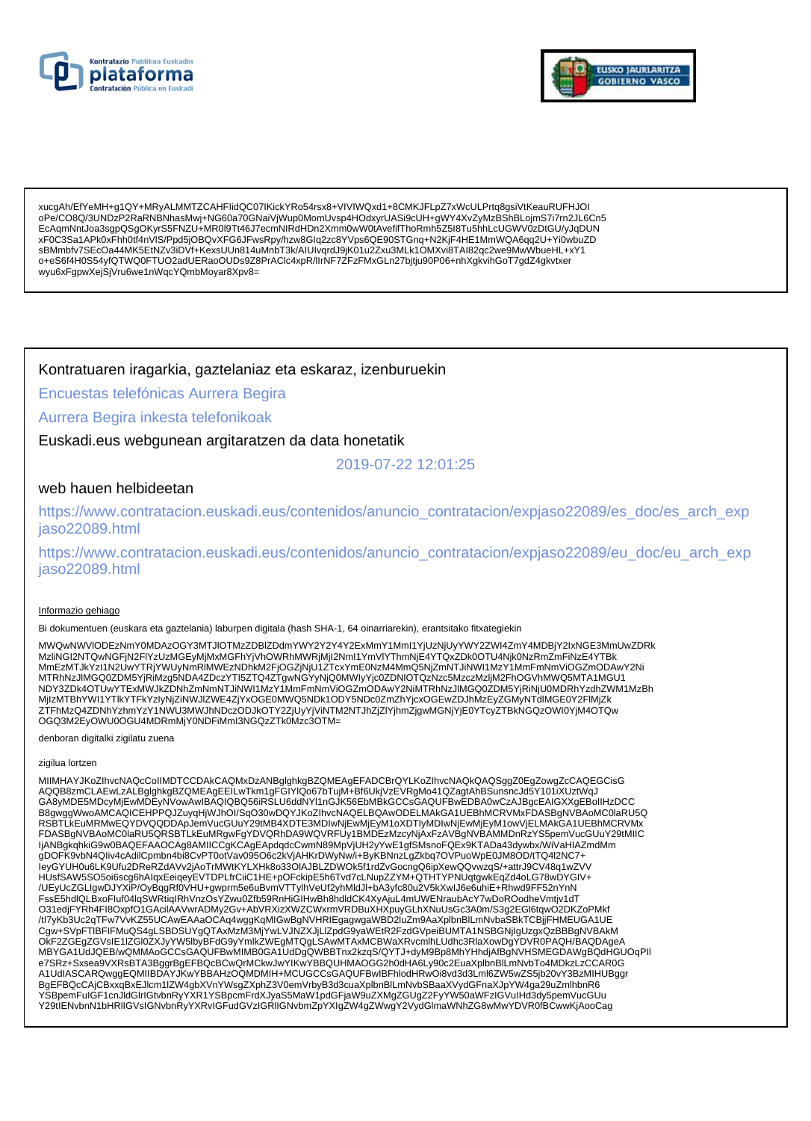



xucgAh/EfYeMH+g1QY+MRyALMMTZCAHFlidQC07lKickYRo54rsx8+VIVIWQxd1+8CMKJFLpZ7xWcULPrtq8gsiVtKeauRUFHJOI EcAqmNntJoa3sgpQSgOKyrS5FNZU+MR0l9Tt46J7ecmNlRdHDn2Xmm0wW0tAvefifThoRmh5Z5l8Tu5hhLcUGWV0zDtGU/yJqDUN xF0C3Sa1APk0xFhh0tf4nVIS/Ppd5jOBQvXFG6JFwsRpy/hzw8Glq2zc8YVps6QE90STGnq+N2KjF4HE1MmWQA6qq2U+Yi0wbuZD sBMmbfv7SEcOa44MK5EtNZv3iDVf+KexsUUn814uMnbT3k/AIUIvqrdJ9jK01u2Zxu3MLk1OMXvi8TAI82qc2we9MwWbueHL+xY1 o+eS6f4H0S54yfQTWQ0FTUO2adUERaoOUDs9Z8PrAClc4xpR/lIrNF7ZFzFMxGLn27bjtju90P06+nhXgkvihGoT7gdZ4gkvtxer wyu6xFgpwXejSjVru6we1nWqcYQmbMoyar8Xpv8=

### Kontratuaren iragarkia, gaztelaniaz eta eskaraz, izenburuekin

Encuestas telefónicas Aurrera Begira

#### Aurrera Begira inkesta telefonikoak

Euskadi.eus webgunean argitaratzen da data honetatik

2019-07-22 12:01:25

## web hauen helbideetan

https://www.contratacion.euskadi.eus/contenidos/anuncio\_contratacion/expjaso22089/es\_doc/es\_arch\_exp jaso22089.html

https://www.contratacion.euskadi.eus/contenidos/anuncio contratacion/expjaso22089/eu doc/eu arch exp jaso22089.html

#### Informazio gehiago

Bi dokumentuen (euskara eta gaztelania) laburpen digitala (hash SHA-1, 64 oinarriarekin), erantsitako fitxategiekin

MWQwNWVIODEzNmY0MDAzOGY3MTJIOTMzZDBIZDdmYWY2Y2Y4Y2ExMmY1Mml1YjUzNjUyYWY2ZWI4ZmY4MDBjY2IxNGE3MmUwZDRk MzliNGI2NTQwNGFjN2FIYzUzMGEyMjMxMGFhYjVhOWRhMWRjMjI2NmI1YmVIYThmNjE4YTQxZDk0OTU4Njk0NzRmZmFiNzE4YTBk MAINSTANT WAN THE MAIN SERIES AND DESCRIPTION OF THE MAIN THAN THE MAIN SERIES AND THE MAINSTANT AND THE MAIN SERIES AND THE MAIN SERIES AND THE MAIN SERIES AND THE MAIN SERIES AND THE MAIN SERIES AND THE MAIN SERIES AND T ZTFhMzQ4ZDNhYzhmYzY1NWU3MWJhNDczODJkOTY2ZjUyYjViNTM2NTJhZjZlYjhmZjgwMGNjYjE0YTcyZTBkNGQzOWI0YjM4OTQw OGQ3M2EyOWU0OGU4MDRmMjY0NDFiMml3NGQzZTk0Mzc3OTM=

denboran digitalki zigilatu zuena

#### zigilua lortzen

MIIMHAYJKoZIhvcNAQcCoIIMDTCCDAkCAQMxDzANBglghkgBZQMEAgEFADCBrQYLKoZIhvcNAQkQAQSggZ0EgZowgZcCAQEGCisG AQQB8zmCLAEwLzALBglghkgBZQMEAgEEILwTkm1gFGIYIQo67bTujM+Bf6UkjVzEVRgMo41QZagtAhBSunsncJd5Y101iXUztWqJ GA8yMDE5MDcyMjEwMDEyNVowAwIBAQIQBQ56iRSLU6ddNYI1nGJK56EbMBkGCCsGAQUFBwEDBA0wCzAJBgcEAIGXXgEBoIIHzDCC B8gwggWwoAMCAQICEHPPQJZuyqHjWJhOI/SqO30wDQYJKoZIhvcNAQELBQAwODELMAkGA1UEBhMCRVMxFDASBgNVBAoMC0laRU5Q<br>RSBTLkEuMRMwEQYDVQQDDApJemVucGUuY29tMB4XDTE3MDIwNjEvM1jEyM1oXDTIyMDIwNjEwMjEyM1owVjELMAkGA1UEBhMCRVMx FDASBgNVBAoMC0laRU5QRSBTLkEuMRgwFgYDVQRhDA9WQVRFUy1BMDEzMzcyNjAxFzAVBgNVBAMMDnRzYS5pemVucGUuY29tMIIC ljANBgkqhkiG9w0BAQEFAAOCAg8AMIICCgKCAgEApdqdcCwmN89MpVjUH2yYwE1gfSMsnoFQEx9KTADa43dywbx/WiVaHIAZmdMm gDOFK9vbN4Qliv4cAdilCpmbn4bi8CvPT0otVav095O6c2kVjAHKrDWyNw/i+ByKBNnzLgZkbq7OVPuoWpE0JM8OD/tTQ4l2NC7+ IeyGYUH0u6LK9Ufu2DReRZdAVv2jAoTrMWtKYLXHk8o33OIAJBLZDWOk5f1rdZvGocngQ6ipXewQQvwzqS/+attrJ9CV48q1wZVV HUsfSAW5SO5oi6scg6hAlqxEeiqeyEVTDPLfrCiiC1HE+pOFckipE5h6Tvd7cLNupZZYM+QTHTYPNUqtgwkEqZd4oLG78wDYGIV+ /UEyUcZGLIgwDJYXiP/OyBqgRf0VHU+gwprm5e6uBvmVTTylhVeUf2yhMldJI+bA3yfc80u2V5kXwIJ6e6uhiE+Rhwd9FF52nYnN /v=you=using/touring/state=interval/state=interval/state=interval/state=interval/state=interval/state=interval/<br>TssE5hdlQLBxoFluf04lqSWRtiqIRhVnzOsYZwu0Zfb59RnHiGIHwBh8hdldCK4XyAjuL4mUWENraubAcY7wDoROodheVmtjv1dT<br>O31edjFY OKF2ZGEgZGVsIE1IZGI0ZXJyYW5lbyBFdG9yYmlkZWEgMTQgLSAwMTAxMCBWaXRvcmlhLUdhc3RlaXowDgYDVR0PAQH/BAQDAgeA MBYGA1UdJQEB/wQMMAoGCCsGAQUFBwMIMB0GA1UdDgQWBBTnx2kzqS/QYTJ+dyM9Bp8MhYHhdjAfBgNVHSMEGDAWgBQdHGUOqPII e7SRz+Sxsea9VXRsBTA3BggrBgEFBQcBCwQrMCkwJwYIKwYBBQUHMAOGG2h0dHA6Ly90c2EuaXplbnBlLmNvbTo4MDkzLzCCAR0G A1UdIASCARQwggEQMIIBDAYJKwYBBAHzOQMDMIH+MCUGCCsGAQUFBwIBFhlodHRwOi8vd3d3Lml6ZW5wZS5jb20vY3BzMIHUBggr BgEFBQcCAjCBxxqBxEJlcm1lZW4gbXVnYWsgZXphZ3V0emVrbyB3d3cuaXplbnBlLmNvbSBaaXVydGFnaXJpYW4ga29uZmlhbnR6<br>YSBpemFulGF1cnJldGlrlGtvbnRyYXR1YSBpcmFrdXJyaS5MaW1pdGFjaW9uZXMgZGUgZ2FyYW50aWFzIGVulHd3dy5pemVucGUu Y29tlENvbnN1bHRIIGVsIGNvbnRyYXRvIGFudGVzIGRIIGNvbmZpYXIgZW4gZWwgY2VydGlmaWNhZG8wMwYDVR0fBCwwKjAooCag